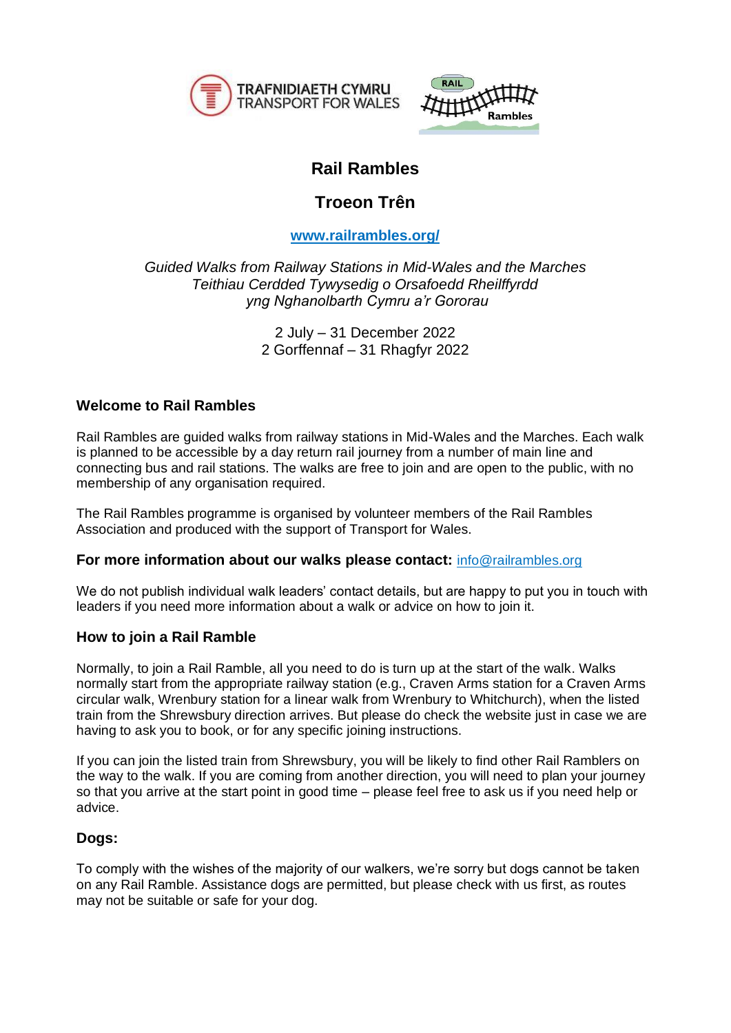



# **Rail Rambles**

# **Troeon Trên**

# **[www.railrambles.org/](https://www.railrambles.org/)**

*Guided Walks from Railway Stations in Mid-Wales and the Marches Teithiau Cerdded Tywysedig o Orsafoedd Rheilffyrdd yng Nghanolbarth Cymru a'r Gororau*

> 2 July – 31 December 2022 2 Gorffennaf – 31 Rhagfyr 2022

# **Welcome to Rail Rambles**

Rail Rambles are guided walks from railway stations in Mid-Wales and the Marches. Each walk is planned to be accessible by a day return rail journey from a number of main line and connecting bus and rail stations. The walks are free to join and are open to the public, with no membership of any organisation required.

The Rail Rambles programme is organised by volunteer members of the Rail Rambles Association and produced with the support of Transport for Wales.

# **For more information about our walks please contact: [info@railrambles.org](mailto:enquiries@railrambles.org)**

We do not publish individual walk leaders' contact details, but are happy to put you in touch with leaders if you need more information about a walk or advice on how to join it.

# **How to join a Rail Ramble**

Normally, to join a Rail Ramble, all you need to do is turn up at the start of the walk. Walks normally start from the appropriate railway station (e.g., Craven Arms station for a Craven Arms circular walk, Wrenbury station for a linear walk from Wrenbury to Whitchurch), when the listed train from the Shrewsbury direction arrives. But please do check the website just in case we are having to ask you to book, or for any specific joining instructions.

If you can join the listed train from Shrewsbury, you will be likely to find other Rail Ramblers on the way to the walk. If you are coming from another direction, you will need to plan your journey so that you arrive at the start point in good time – please feel free to ask us if you need help or advice.

# **Dogs:**

To comply with the wishes of the majority of our walkers, we're sorry but dogs cannot be taken on any Rail Ramble. Assistance dogs are permitted, but please check with us first, as routes may not be suitable or safe for your dog.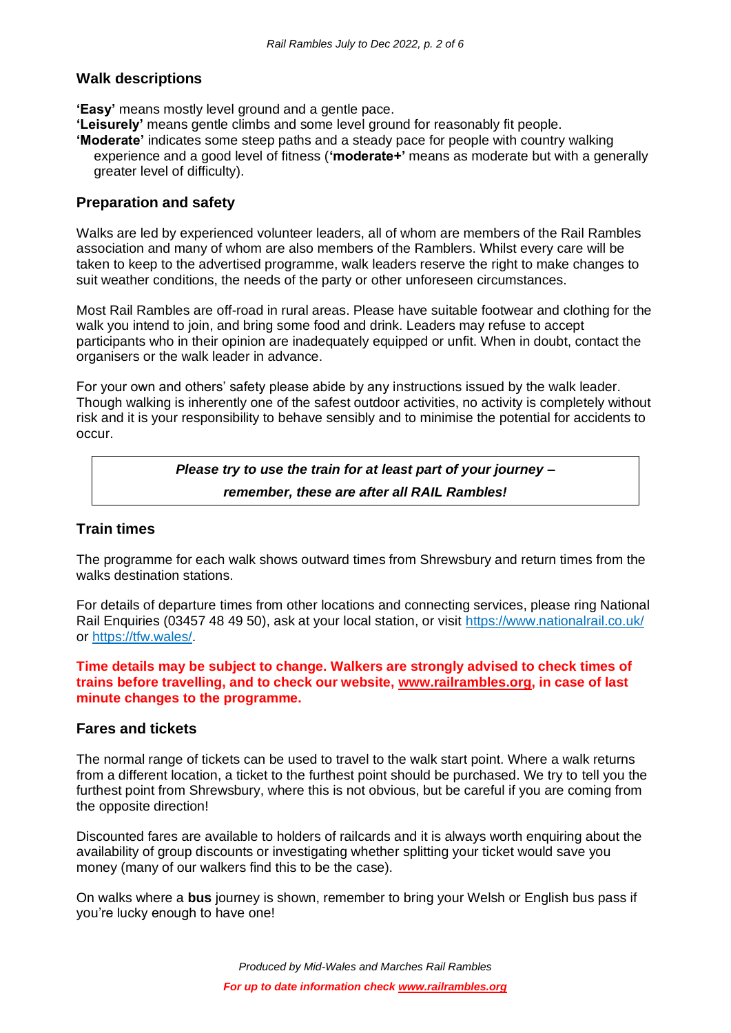#### **Walk descriptions**

**'Easy'** means mostly level ground and a gentle pace.

**'Leisurely'** means gentle climbs and some level ground for reasonably fit people.

**'Moderate'** indicates some steep paths and a steady pace for people with country walking experience and a good level of fitness (**'moderate+'** means as moderate but with a generally greater level of difficulty).

#### **Preparation and safety**

Walks are led by experienced volunteer leaders, all of whom are members of the Rail Rambles association and many of whom are also members of the Ramblers. Whilst every care will be taken to keep to the advertised programme, walk leaders reserve the right to make changes to suit weather conditions, the needs of the party or other unforeseen circumstances.

Most Rail Rambles are off-road in rural areas. Please have suitable footwear and clothing for the walk you intend to join, and bring some food and drink. Leaders may refuse to accept participants who in their opinion are inadequately equipped or unfit. When in doubt, contact the organisers or the walk leader in advance.

For your own and others' safety please abide by any instructions issued by the walk leader. Though walking is inherently one of the safest outdoor activities, no activity is completely without risk and it is your responsibility to behave sensibly and to minimise the potential for accidents to occur.

> *Please try to use the train for at least part of your journey – remember, these are after all RAIL Rambles!*

#### **Train times**

The programme for each walk shows outward times from Shrewsbury and return times from the walks destination stations.

For details of departure times from other locations and connecting services, please ring National Rail Enquiries (03457 48 49 50), ask at your local station, or visit<https://www.nationalrail.co.uk/> or [https://tfw.wales/.](https://tfw.wales/)

**Time details may be subject to change. Walkers are strongly advised to check times of trains before travelling, and to check our website, [www.railrambles.org,](http://www.railrambles.org/) in case of last minute changes to the programme.**

#### **Fares and tickets**

The normal range of tickets can be used to travel to the walk start point. Where a walk returns from a different location, a ticket to the furthest point should be purchased. We try to tell you the furthest point from Shrewsbury, where this is not obvious, but be careful if you are coming from the opposite direction!

Discounted fares are available to holders of railcards and it is always worth enquiring about the availability of group discounts or investigating whether splitting your ticket would save you money (many of our walkers find this to be the case).

On walks where a **bus** journey is shown, remember to bring your Welsh or English bus pass if you're lucky enough to have one!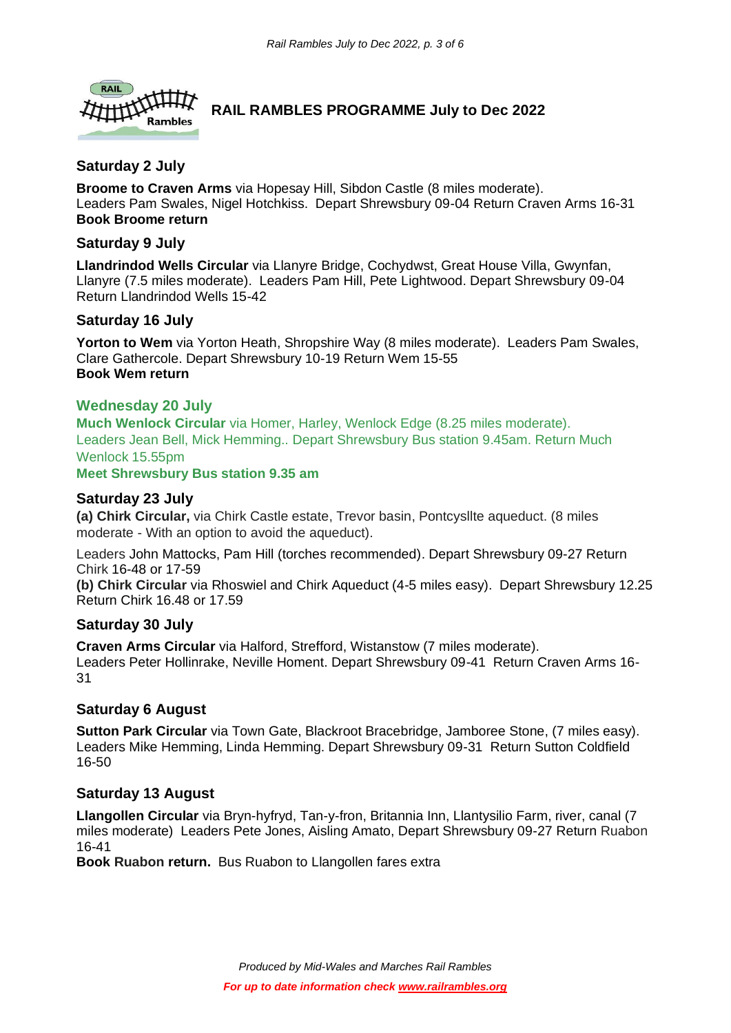

# **RAIL RAMBLES PROGRAMME July to Dec 2022**

# **Saturday 2 July**

**Broome to Craven Arms** via Hopesay Hill, Sibdon Castle (8 miles moderate). Leaders Pam Swales, Nigel Hotchkiss. Depart Shrewsbury 09-04 Return Craven Arms 16-31 **Book Broome return**

# **Saturday 9 July**

**Llandrindod Wells Circular** via Llanyre Bridge, Cochydwst, Great House Villa, Gwynfan, Llanyre (7.5 miles moderate). Leaders Pam Hill, Pete Lightwood. Depart Shrewsbury 09-04 Return Llandrindod Wells 15-42

# **Saturday 16 July**

**Yorton to Wem** via Yorton Heath, Shropshire Way (8 miles moderate). Leaders Pam Swales, Clare Gathercole. Depart Shrewsbury 10-19 Return Wem 15-55 **Book Wem return**

# **Wednesday 20 July**

**Much Wenlock Circular** via Homer, Harley, Wenlock Edge (8.25 miles moderate). Leaders Jean Bell, Mick Hemming.. Depart Shrewsbury Bus station 9.45am. Return Much Wenlock 15.55pm

**Meet Shrewsbury Bus station 9.35 am**

# **Saturday 23 July**

**(a) Chirk Circular,** via Chirk Castle estate, Trevor basin, Pontcysllte aqueduct. (8 miles moderate - With an option to avoid the aqueduct).

Leaders John Mattocks, Pam Hill (torches recommended). Depart Shrewsbury 09-27 Return Chirk 16-48 or 17-59

**(b) Chirk Circular** via Rhoswiel and Chirk Aqueduct (4-5 miles easy). Depart Shrewsbury 12.25 Return Chirk 16.48 or 17.59

#### **Saturday 30 July**

**Craven Arms Circular** via Halford, Strefford, Wistanstow (7 miles moderate). Leaders Peter Hollinrake, Neville Homent. Depart Shrewsbury 09-41 Return Craven Arms 16- 31

# **Saturday 6 August**

**Sutton Park Circular** via Town Gate, Blackroot Bracebridge, Jamboree Stone, (7 miles easy). Leaders Mike Hemming, Linda Hemming. Depart Shrewsbury 09-31 Return Sutton Coldfield 16-50

# **Saturday 13 August**

**Llangollen Circular** via Bryn-hyfryd, Tan-y-fron, Britannia Inn, Llantysilio Farm, river, canal (7 miles moderate) Leaders Pete Jones, Aisling Amato, Depart Shrewsbury 09-27 Return Ruabon 16-41

**Book Ruabon return.** Bus Ruabon to Llangollen fares extra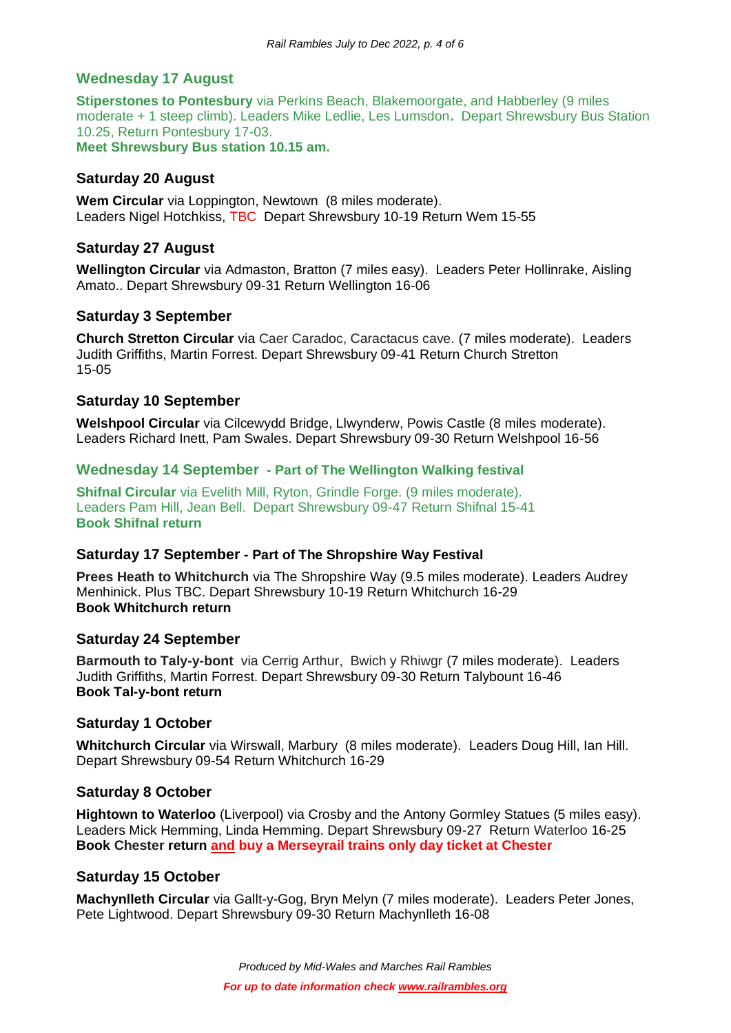# **Wednesday 17 August**

**Stiperstones to Pontesbury** via Perkins Beach, Blakemoorgate, and Habberley (9 miles moderate + 1 steep climb). Leaders Mike Ledlie, Les Lumsdon**.** Depart Shrewsbury Bus Station 10.25, Return Pontesbury 17-03.

**Meet Shrewsbury Bus station 10.15 am.**

# **Saturday 20 August**

**Wem Circular** via Loppington, Newtown (8 miles moderate). Leaders Nigel Hotchkiss, TBC Depart Shrewsbury 10-19 Return Wem 15-55

# **Saturday 27 August**

**Wellington Circular** via Admaston, Bratton (7 miles easy). Leaders Peter Hollinrake, Aisling Amato.. Depart Shrewsbury 09-31 Return Wellington 16-06

# **Saturday 3 September**

**Church Stretton Circular** via Caer Caradoc, Caractacus cave. (7 miles moderate). Leaders Judith Griffiths, Martin Forrest. Depart Shrewsbury 09-41 Return Church Stretton 15-05

# **Saturday 10 September**

**Welshpool Circular** via Cilcewydd Bridge, Llwynderw, Powis Castle (8 miles moderate). Leaders Richard Inett, Pam Swales. Depart Shrewsbury 09-30 Return Welshpool 16-56

#### **Wednesday 14 September - Part of The Wellington Walking festival**

**Shifnal Circular** via Evelith Mill, Ryton, Grindle Forge. (9 miles moderate). Leaders Pam Hill, Jean Bell. Depart Shrewsbury 09-47 Return Shifnal 15-41 **Book Shifnal return**

#### **Saturday 17 September - Part of The Shropshire Way Festival**

**Prees Heath to Whitchurch** via The Shropshire Way (9.5 miles moderate). Leaders Audrey Menhinick. Plus TBC. Depart Shrewsbury 10-19 Return Whitchurch 16-29 **Book Whitchurch return**

#### **Saturday 24 September**

**Barmouth to Taly-y-bont** via Cerrig Arthur, Bwich y Rhiwgr (7 miles moderate). Leaders Judith Griffiths, Martin Forrest. Depart Shrewsbury 09-30 Return Talybount 16-46 **Book Tal-y-bont return**

#### **Saturday 1 October**

**Whitchurch Circular** via Wirswall, Marbury (8 miles moderate). Leaders Doug Hill, Ian Hill. Depart Shrewsbury 09-54 Return Whitchurch 16-29

#### **Saturday 8 October**

**Hightown to Waterloo** (Liverpool) via Crosby and the Antony Gormley Statues (5 miles easy). Leaders Mick Hemming, Linda Hemming. Depart Shrewsbury 09-27 Return Waterloo 16-25 **Book Chester return and buy a Merseyrail trains only day ticket at Chester** 

#### **Saturday 15 October**

**Machynlleth Circular** via Gallt-y-Gog, Bryn Melyn (7 miles moderate). Leaders Peter Jones, Pete Lightwood. Depart Shrewsbury 09-30 Return Machynlleth 16-08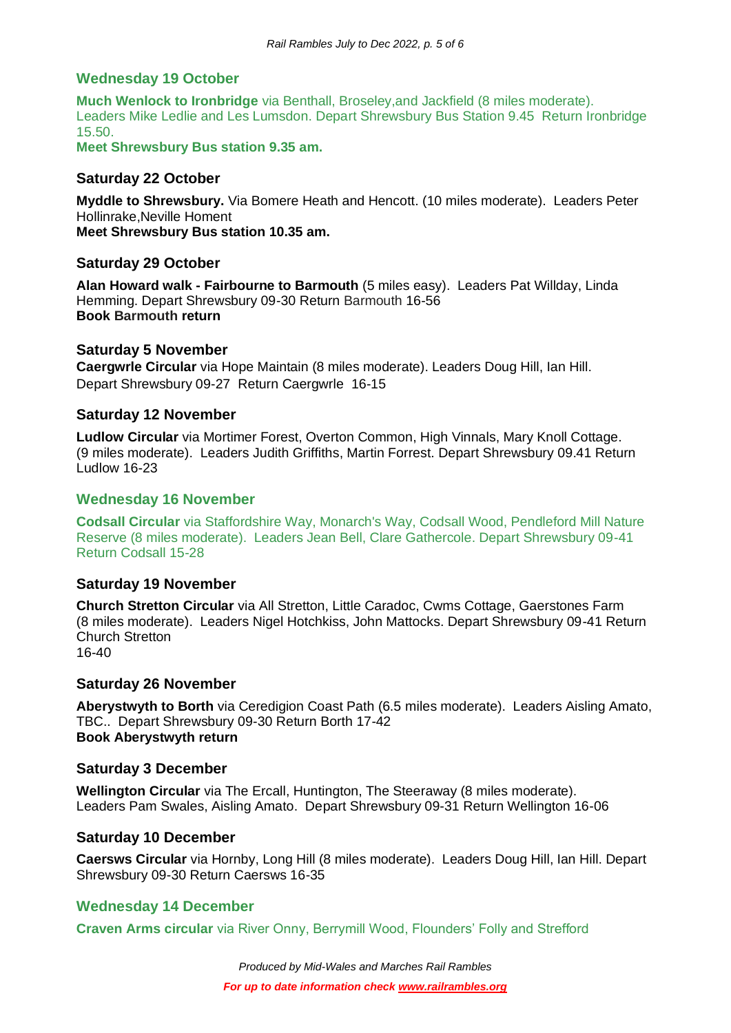# **Wednesday 19 October**

**Much Wenlock to Ironbridge** via Benthall, Broseley,and Jackfield (8 miles moderate). Leaders Mike Ledlie and Les Lumsdon. Depart Shrewsbury Bus Station 9.45 Return Ironbridge 15.50.

**Meet Shrewsbury Bus station 9.35 am.**

# **Saturday 22 October**

**Myddle to Shrewsbury.** Via Bomere Heath and Hencott. (10 miles moderate). Leaders Peter Hollinrake,Neville Homent

**Meet Shrewsbury Bus station 10.35 am.**

#### **Saturday 29 October**

**Alan Howard walk - Fairbourne to Barmouth** (5 miles easy). Leaders Pat Willday, Linda Hemming. Depart Shrewsbury 09-30 Return Barmouth 16-56 **Book Barmouth return**

#### **Saturday 5 November**

**Caergwrle Circular** via Hope Maintain (8 miles moderate). Leaders Doug Hill, Ian Hill. Depart Shrewsbury 09-27 Return Caergwrle 16-15

# **Saturday 12 November**

**Ludlow Circular** via Mortimer Forest, Overton Common, High Vinnals, Mary Knoll Cottage. (9 miles moderate). Leaders Judith Griffiths, Martin Forrest. Depart Shrewsbury 09.41 Return Ludlow 16-23

#### **Wednesday 16 November**

**Codsall Circular** via Staffordshire Way, Monarch's Way, Codsall Wood, Pendleford Mill Nature Reserve (8 miles moderate). Leaders Jean Bell, Clare Gathercole. Depart Shrewsbury 09-41 Return Codsall 15-28

#### **Saturday 19 November**

**Church Stretton Circular** via All Stretton, Little Caradoc, Cwms Cottage, Gaerstones Farm (8 miles moderate). Leaders Nigel Hotchkiss, John Mattocks. Depart Shrewsbury 09-41 Return Church Stretton 16-40

### **Saturday 26 November**

**Aberystwyth to Borth** via Ceredigion Coast Path (6.5 miles moderate). Leaders Aisling Amato, TBC.. Depart Shrewsbury 09-30 Return Borth 17-42 **Book Aberystwyth return**

#### **Saturday 3 December**

**Wellington Circular** via The Ercall, Huntington, The Steeraway (8 miles moderate). Leaders Pam Swales, Aisling Amato. Depart Shrewsbury 09-31 Return Wellington 16-06

#### **Saturday 10 December**

**Caersws Circular** via Hornby, Long Hill (8 miles moderate). Leaders Doug Hill, Ian Hill. Depart Shrewsbury 09-30 Return Caersws 16-35

#### **Wednesday 14 December**

**Craven Arms circular** via River Onny, Berrymill Wood, Flounders' Folly and Strefford